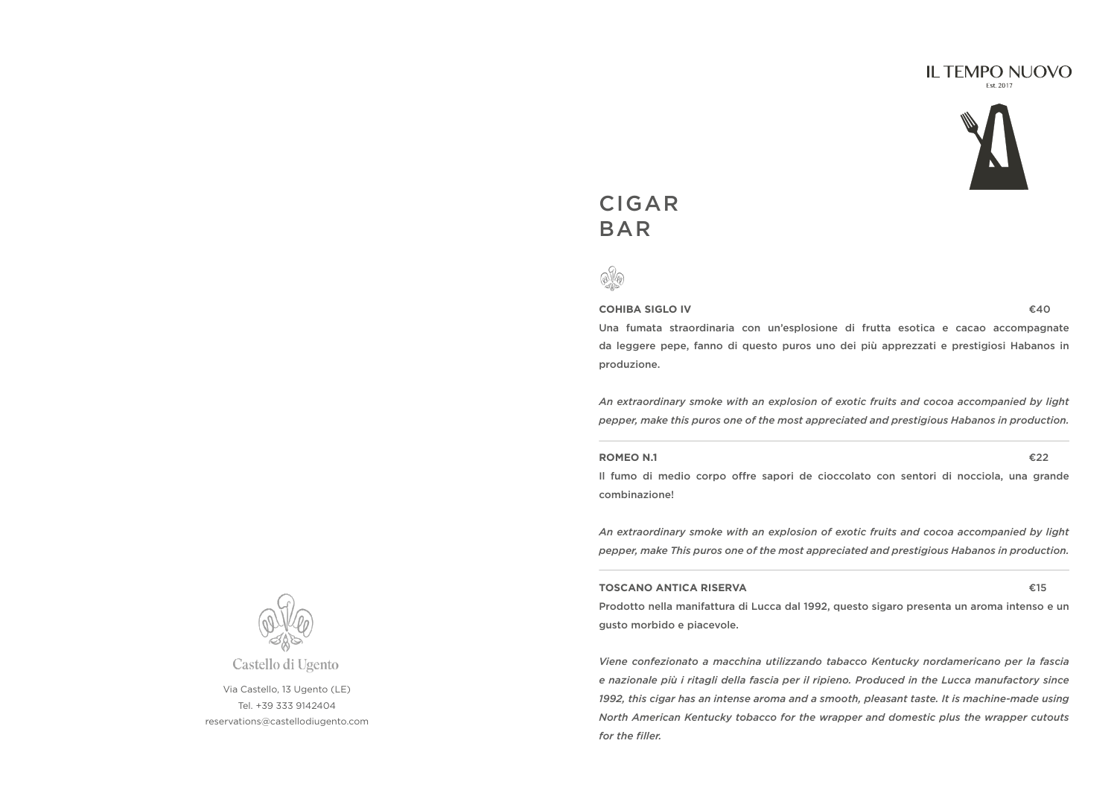#### **IL TEMPO NUOVO** Est 2017



# CIGAR BAR



**COHIBA SIGLO IV** €40

Una fumata straordinaria con un'esplosione di frutta esotica e cacao accompagnate da leggere pepe, fanno di questo puros uno dei più apprezzati e prestigiosi Habanos in produzione.

*An extraordinary smoke with an explosion of exotic fruits and cocoa accompanied by light pepper, make this puros one of the most appreciated and prestigious Habanos in production.*

#### **ROMEO N.1** €22

Il fumo di medio corpo offre sapori de cioccolato con sentori di nocciola, una grande combinazione!

*An extraordinary smoke with an explosion of exotic fruits and cocoa accompanied by light pepper, make This puros one of the most appreciated and prestigious Habanos in production.*

#### **TOSCANO ANTICA RISERVA** €15

Prodotto nella manifattura di Lucca dal 1992, questo sigaro presenta un aroma intenso e un gusto morbido e piacevole.

*Viene confezionato a macchina utilizzando tabacco Kentucky nordamericano per la fascia e nazionale più i ritagli della fascia per il ripieno. Produced in the Lucca manufactory since 1992, this cigar has an intense aroma and a smooth, pleasant taste. It is machine-made using North American Kentucky tobacco for the wrapper and domestic plus the wrapper cutouts for the filler.*



Castello di Ugento

Via Castello, 13 Ugento (LE) Tel. +39 333 9142404 reservations@castellodiugento.com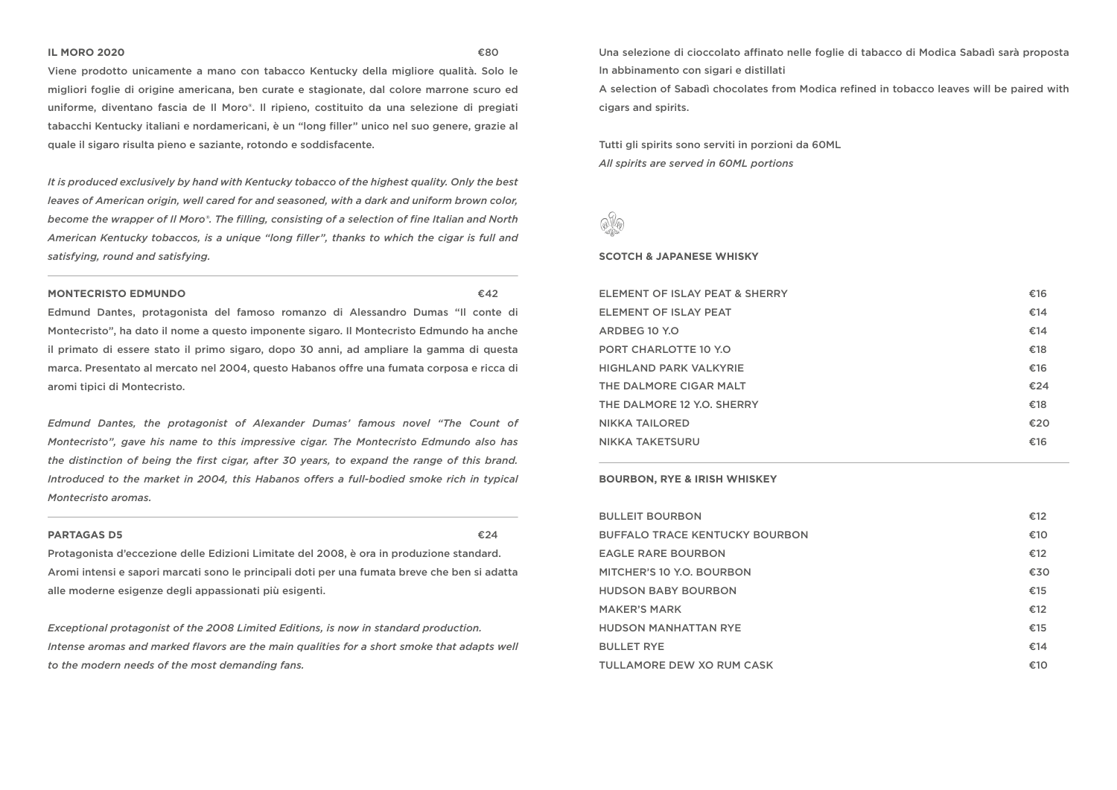#### **IL MORO 2020** €80

Viene prodotto unicamente a mano con tabacco Kentucky della migliore qualità. Solo le migliori foglie di origine americana, ben curate e stagionate, dal colore marrone scuro ed uniforme, diventano fascia de Il Moro®. Il ripieno, costituito da una selezione di pregiati tabacchi Kentucky italiani e nordamericani, è un "long filler" unico nel suo genere, grazie al quale il sigaro risulta pieno e saziante, rotondo e soddisfacente.

*It is produced exclusively by hand with Kentucky tobacco of the highest quality. Only the best leaves of American origin, well cared for and seasoned, with a dark and uniform brown color, become the wrapper of Il Moro®. The filling, consisting of a selection of fine Italian and North American Kentucky tobaccos, is a unique "long filler", thanks to which the cigar is full and satisfying, round and satisfying.*

#### **MONTECRISTO EDMUNDO** €42

Edmund Dantes, protagonista del famoso romanzo di Alessandro Dumas "Il conte di Montecristo", ha dato il nome a questo imponente sigaro. Il Montecristo Edmundo ha anche il primato di essere stato il primo sigaro, dopo 30 anni, ad ampliare la gamma di questa marca. Presentato al mercato nel 2004, questo Habanos offre una fumata corposa e ricca di aromi tipici di Montecristo.

*Edmund Dantes, the protagonist of Alexander Dumas' famous novel "The Count of Montecristo", gave his name to this impressive cigar. The Montecristo Edmundo also has the distinction of being the first cigar, after 30 years, to expand the range of this brand. Introduced to the market in 2004, this Habanos offers a full-bodied smoke rich in typical Montecristo aromas.*

#### **PARTAGAS D5** €24

Protagonista d'eccezione delle Edizioni Limitate del 2008, è ora in produzione standard. Aromi intensi e sapori marcati sono le principali doti per una fumata breve che ben si adatta alle moderne esigenze degli appassionati più esigenti.

*Exceptional protagonist of the 2008 Limited Editions, is now in standard production. Intense aromas and marked flavors are the main qualities for a short smoke that adapts well to the modern needs of the most demanding fans.*

Una selezione di cioccolato affinato nelle foglie di tabacco di Modica Sabadì sarà proposta In abbinamento con sigari e distillati

A selection of Sabadì chocolates from Modica refined in tobacco leaves will be paired with cigars and spirits.

Tutti gli spirits sono serviti in porzioni da 60ML *All spirits are served in 60ML portions*



#### **SCOTCH & JAPANESE WHISKY**

| ELEMENT OF ISLAY PEAT & SHERRY | €16 |
|--------------------------------|-----|
| ELEMENT OF ISLAY PEAT          | €14 |
| ARDBEG 10 Y.O                  | €14 |
| <b>PORT CHARLOTTE 10 Y.O.</b>  | €18 |
| <b>HIGHLAND PARK VALKYRIE</b>  | €16 |
| THE DALMORE CIGAR MALT         | €24 |
| THE DALMORE 12 Y.O. SHERRY     | €18 |
| <b>NIKKA TAILORED</b>          | €20 |
| <b>NIKKA TAKETSURU</b>         | €16 |

#### **BOURBON, RYE & IRISH WHISKEY**

| <b>BULLEIT BOURBON</b>                | €12 |
|---------------------------------------|-----|
| <b>BUFFALO TRACE KENTUCKY BOURBON</b> | €10 |
| <b>EAGLE RARE BOURBON</b>             | €12 |
| MITCHER'S 10 Y.O. BOURBON             | €30 |
| <b>HUDSON BABY BOURBON</b>            | €15 |
| <b>MAKER'S MARK</b>                   | €12 |
| <b>HUDSON MANHATTAN RYE</b>           | €15 |
| <b>BULLET RYE</b>                     | €14 |
| TULLAMORE DEW XO RUM CASK             | €10 |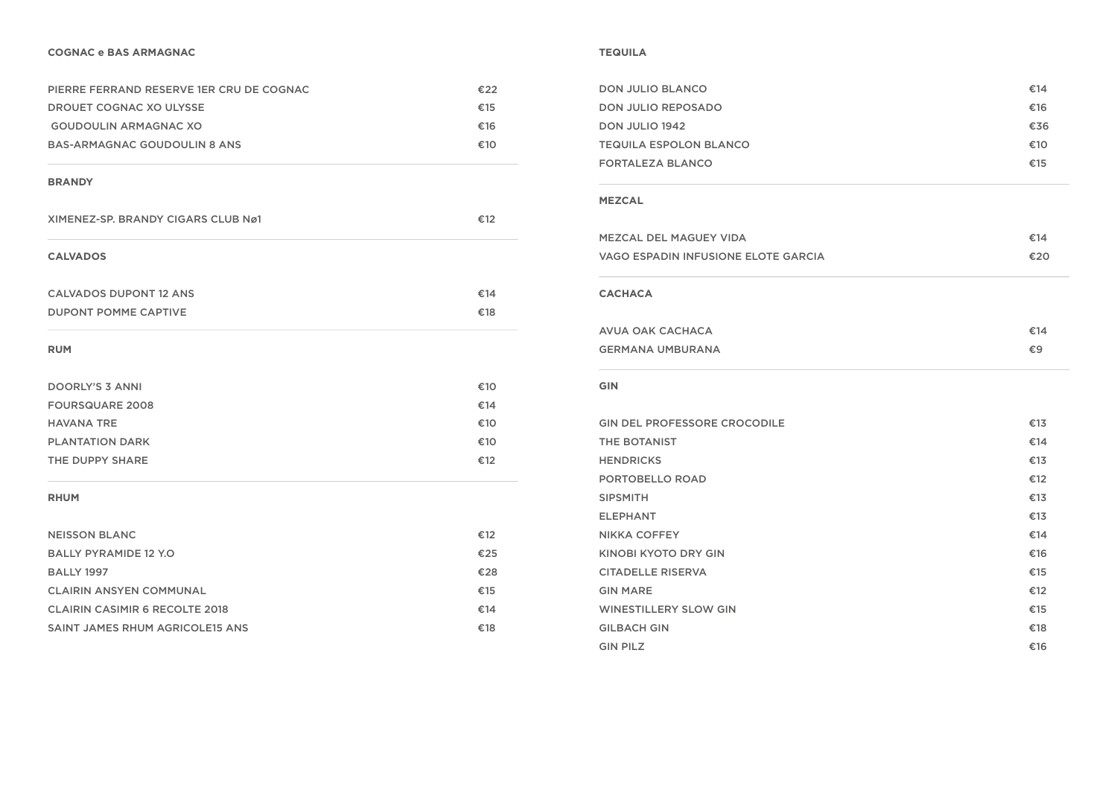#### **COGNAC e BAS ARMAGNAC**

| PIERRE FERRAND RESERVE 1ER CRU DE COGNAC | €22 |
|------------------------------------------|-----|
| DROUET COGNAC XO ULYSSE                  | €15 |
| GOUDOULIN ARMAGNAC XO                    | €16 |
| BAS-ARMAGNAC GOUDOULIN 8 ANS             | €10 |

#### **BRANDY**

| XIMENEZ-SP, BRANDY CIGARS CLUB Nø1 | €12 |
|------------------------------------|-----|
| <b>CALVADOS</b>                    |     |
| <b>CALVADOS DUPONT 12 ANS</b>      | €14 |
| <b>DUPONT POMME CAPTIVE</b>        | €18 |

#### **RUM**

| DOORLY'S 3 ANNI        | €10 |
|------------------------|-----|
| <b>FOURSQUARE 2008</b> | €14 |
| <b>HAVANA TRE</b>      | €10 |
| <b>PLANTATION DARK</b> | €10 |
| THE DUPPY SHARE        | €12 |

#### **RHUM**

| <b>NEISSON BLANC</b>                   | €12 |
|----------------------------------------|-----|
| <b>BALLY PYRAMIDE 12 Y.O.</b>          | €25 |
| <b>BALLY 1997</b>                      | €28 |
| <b>CLAIRIN ANSYEN COMMUNAL</b>         | €15 |
| <b>CLAIRIN CASIMIR 6 RECOLTE 2018</b>  | €14 |
| <b>SAINT JAMES RHUM AGRICOLE15 ANS</b> | €18 |

#### **TEQUILA**

| DON JULIO BLANCO              | €14 |
|-------------------------------|-----|
| DON JULIO REPOSADO            | €16 |
| DON JULIO 1942                | €36 |
| <b>TEQUILA ESPOLON BLANCO</b> | €10 |
| <b>FORTALEZA BLANCO</b>       | €15 |

#### **MEZCAL**

| <b>MEZCAL DEL MAGUEY VIDA</b>       | €14 |
|-------------------------------------|-----|
| VAGO ESPADIN INFUSIONE ELOTE GARCIA | €20 |
|                                     |     |
| <b>CACHACA</b>                      |     |
| AVUA OAK CACHACA                    | €14 |
| <b>GERMANA UMBURANA</b>             | €9  |

#### GIN

| <b>GIN DEL PROFESSORE CROCODILE</b> | €13 |
|-------------------------------------|-----|
| <b>THE BOTANIST</b>                 | €14 |
| <b>HENDRICKS</b>                    | €13 |
| PORTOBELLO ROAD                     | €12 |
| <b>SIPSMITH</b>                     | €13 |
| <b>ELEPHANT</b>                     | €13 |
| <b>NIKKA COFFEY</b>                 | €14 |
| <b>KINOBI KYOTO DRY GIN</b>         | €16 |
| <b>CITADELLE RISERVA</b>            | €15 |
| <b>GIN MARE</b>                     | €12 |
| <b>WINESTILLERY SLOW GIN</b>        | €15 |
| <b>GILBACH GIN</b>                  | €18 |
| <b>GIN PILZ</b>                     | €16 |